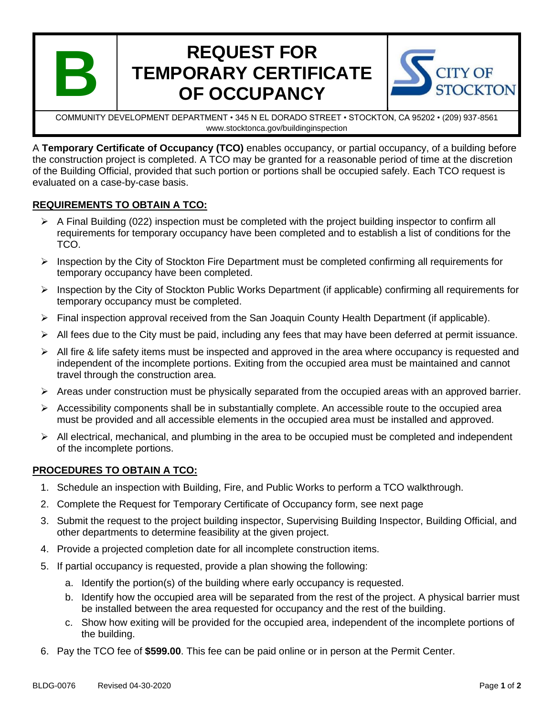

# **REQUEST FOR TEMPORARY CERTIFICATE OF OCCUPANCY**



COMMUNITY DEVELOPMENT DEPARTMENT • 345 N EL DORADO STREET • STOCKTON, CA 95202 • (209) 937-8561 www.stocktonca.gov/buildinginspection

A **Temporary Certificate of Occupancy (TCO)** enables occupancy, or partial occupancy, of a building before the construction project is completed. A TCO may be granted for a reasonable period of time at the discretion of the Building Official, provided that such portion or portions shall be occupied safely. Each TCO request is evaluated on a case-by-case basis.

## **REQUIREMENTS TO OBTAIN A TCO:**

- $\triangleright$  A Final Building (022) inspection must be completed with the project building inspector to confirm all requirements for temporary occupancy have been completed and to establish a list of conditions for the TCO.
- ➢ Inspection by the City of Stockton Fire Department must be completed confirming all requirements for temporary occupancy have been completed.
- ➢ Inspection by the City of Stockton Public Works Department (if applicable) confirming all requirements for temporary occupancy must be completed.
- ➢ Final inspection approval received from the San Joaquin County Health Department (if applicable).
- $\triangleright$  All fees due to the City must be paid, including any fees that may have been deferred at permit issuance.
- $\triangleright$  All fire & life safety items must be inspected and approved in the area where occupancy is requested and independent of the incomplete portions. Exiting from the occupied area must be maintained and cannot travel through the construction area.
- $\triangleright$  Areas under construction must be physically separated from the occupied areas with an approved barrier.
- $\triangleright$  Accessibility components shall be in substantially complete. An accessible route to the occupied area must be provided and all accessible elements in the occupied area must be installed and approved.
- $\triangleright$  All electrical, mechanical, and plumbing in the area to be occupied must be completed and independent of the incomplete portions.

## **PROCEDURES TO OBTAIN A TCO:**

- 1. Schedule an inspection with Building, Fire, and Public Works to perform a TCO walkthrough.
- 2. Complete the Request for Temporary Certificate of Occupancy form, see next page
- 3. Submit the request to the project building inspector, Supervising Building Inspector, Building Official, and other departments to determine feasibility at the given project.
- 4. Provide a projected completion date for all incomplete construction items.
- 5. If partial occupancy is requested, provide a plan showing the following:
	- a. Identify the portion(s) of the building where early occupancy is requested.
	- b. Identify how the occupied area will be separated from the rest of the project. A physical barrier must be installed between the area requested for occupancy and the rest of the building.
	- c. Show how exiting will be provided for the occupied area, independent of the incomplete portions of the building.
- 6. Pay the TCO fee of **\$599.00**. This fee can be paid online or in person at the Permit Center.